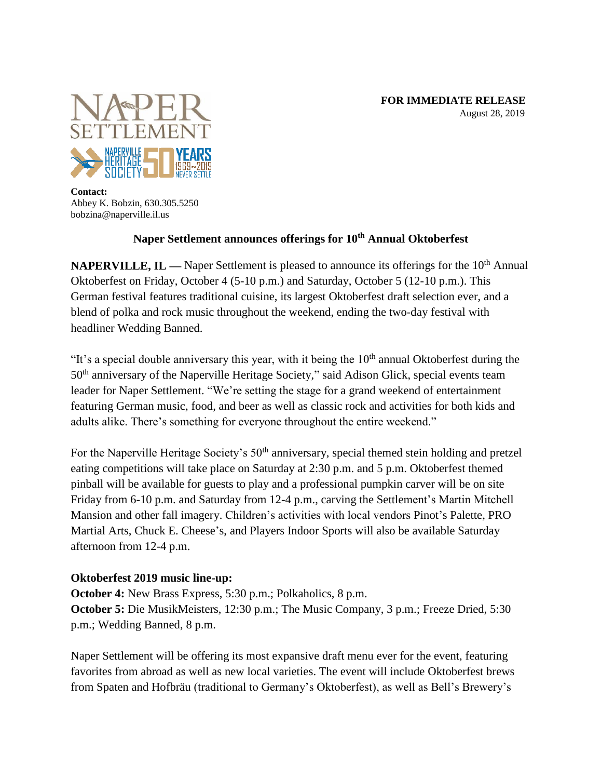

**Contact:** Abbey K. Bobzin, 630.305.5250 bobzina@naperville.il.us

## **Naper Settlement announces offerings for 10th Annual Oktoberfest**

**NAPERVILLE, IL —** Naper Settlement is pleased to announce its offerings for the 10<sup>th</sup> Annual Oktoberfest on Friday, October 4 (5-10 p.m.) and Saturday, October 5 (12-10 p.m.). This German festival features traditional cuisine, its largest Oktoberfest draft selection ever, and a blend of polka and rock music throughout the weekend, ending the two-day festival with headliner Wedding Banned.

"It's a special double anniversary this year, with it being the  $10<sup>th</sup>$  annual Oktoberfest during the 50th anniversary of the Naperville Heritage Society," said Adison Glick, special events team leader for Naper Settlement. "We're setting the stage for a grand weekend of entertainment featuring German music, food, and beer as well as classic rock and activities for both kids and adults alike. There's something for everyone throughout the entire weekend."

For the Naperville Heritage Society's 50<sup>th</sup> anniversary, special themed stein holding and pretzel eating competitions will take place on Saturday at 2:30 p.m. and 5 p.m. Oktoberfest themed pinball will be available for guests to play and a professional pumpkin carver will be on site Friday from 6-10 p.m. and Saturday from 12-4 p.m., carving the Settlement's Martin Mitchell Mansion and other fall imagery. Children's activities with local vendors Pinot's Palette, PRO Martial Arts, Chuck E. Cheese's, and Players Indoor Sports will also be available Saturday afternoon from 12-4 p.m.

## **Oktoberfest 2019 music line-up:**

**October 4:** New Brass Express, 5:30 p.m.; Polkaholics, 8 p.m. **October 5:** Die MusikMeisters, 12:30 p.m.; The Music Company, 3 p.m.; Freeze Dried, 5:30 p.m.; Wedding Banned, 8 p.m.

Naper Settlement will be offering its most expansive draft menu ever for the event, featuring favorites from abroad as well as new local varieties. The event will include Oktoberfest brews from Spaten and Hofbräu (traditional to Germany's Oktoberfest), as well as Bell's Brewery's